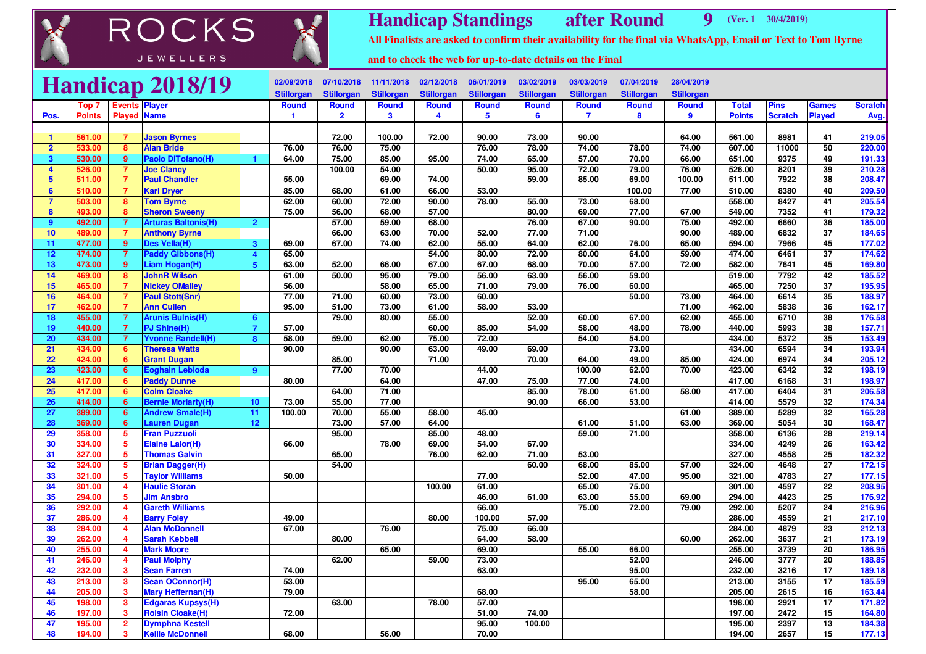## ROCKS JEWELLERS



**Handicap Standings after Round<sup>9</sup> (Ver. 1 30/4/2019)**

**All Finalists are asked to confirm their availability for the final via WhatsApp, Email or Text to Tom Byrne**

**and to check the web for up-to-date details on the Final**

|                         |                  |                         | <b>Handicap 2018/19</b>                      |                         | 02/09/2018        | 07/10/2018        | 11/11/2018        | 02/12/2018        | 06/01/2019        | 03/02/2019        | 03/03/2019        | 07/04/2019        | 28/04/2019        |                  |                |                       |                  |
|-------------------------|------------------|-------------------------|----------------------------------------------|-------------------------|-------------------|-------------------|-------------------|-------------------|-------------------|-------------------|-------------------|-------------------|-------------------|------------------|----------------|-----------------------|------------------|
|                         |                  |                         |                                              |                         | <b>Stillorgan</b> | <b>Stillorgan</b> | <b>Stillorgan</b> | <b>Stillorgan</b> | <b>Stillorgan</b> | <b>Stillorgan</b> | <b>Stillorgan</b> | <b>Stillorgan</b> | <b>Stillorgan</b> |                  |                |                       |                  |
|                         | Top 7            | <b>Events Player</b>    |                                              |                         | <b>Round</b>      | <b>Round</b>      | <b>Round</b>      | <b>Round</b>      | <b>Round</b>      | <b>Round</b>      | <b>Round</b>      | Round             | <b>Round</b>      | <b>Total</b>     | <b>Pins</b>    | <b>Games</b>          | <b>Scratch</b>   |
| Pos.                    | <b>Points</b>    | <b>Played Name</b>      |                                              |                         | 1                 | $\overline{2}$    | 3                 | 4                 | 5                 | 6                 | $\overline{7}$    | 8                 | 9                 | <b>Points</b>    | <b>Scratch</b> | <b>Played</b>         | Avg.             |
|                         |                  |                         |                                              |                         |                   |                   |                   |                   |                   |                   |                   |                   |                   |                  |                |                       |                  |
| $\blacktriangleleft$    | 561.00           | 7                       | <b>Jason Byrnes</b>                          |                         |                   | 72.00             | 100.00            | 72.00             | 90.00             | 73.00             | 90.00             |                   | 64.00             | 561.00           | 8981           | 41                    | 219.05           |
| $\overline{2}$          | 533.00           | 8                       | <b>Alan Bride</b>                            |                         | 76.00             | 76.00             | 75.00             |                   | 76.00             | 78.00             | 74.00             | 78.00             | 74.00             | 607.00           | 11000          | 50                    | 220.00           |
| 3                       | 530.00           | 9                       | Paolo DiTofano(H)                            |                         | 64.00             | 75.00             | 85.00             | 95.00             | 74.00             | 65.00             | 57.00             | 70.00             | 66.00             | 651.00           | 9375           | 49                    | 191.33           |
| $\overline{\mathbf{4}}$ | 526.00           | $\overline{7}$          | <b>Joe Clancy</b>                            |                         |                   | 100.00            | 54.00             |                   | 50.00             | 95.00             | 72.00             | 79.00             | 76.00             | 526.00           | 8201           | 39                    | 210.28           |
| $5\phantom{1}$          | 511.00           | $\overline{7}$          | <b>Paul Chandler</b>                         |                         | 55.00             |                   | 69.00             | 74.00             |                   | 59.00             | 85.00             | 69.00             | 100.00            | 511.00           | 7922           | 38                    | 208.47           |
| 6                       | 510.00           | $\overline{7}$          | <b>Karl Dryer</b>                            |                         | 85.00             | 68.00             | 61.00             | 66.00             | 53.00             |                   |                   | 100.00            | 77.00             | 510.00           | 8380           | 40                    | 209.50           |
|                         | 503.00           | 8                       | <b>Tom Byrne</b>                             |                         | 62.00             | 60.00             | 72.00             | 90.00             | 78.00             | 55.00             | 73.00             | 68.00             |                   | 558.00           | 8427           | 41                    | 205.54           |
| 8                       | 493.00           | 8                       | <b>Sheron Sweeny</b>                         |                         | 75.00             | 56.00             | 68.00             | 57.00             |                   | 80.00             | 69.00             | 77.00             | 67.00             | 549.00           | 7352           | 41                    | 179.32           |
| -9                      | 492.00           | $\overline{7}$          | <b>Arturas Baltonis(H)</b>                   | $\overline{2}$          |                   | 57.00             | 59.00             | 68.00             |                   | 76.00             | 67.00             | 90.00             | 75.00             | 492.00           | 6660           | $\overline{36}$       | 185.00           |
| 10                      | 489.00           | 7                       | <b>Anthony Byrne</b>                         |                         |                   | 66.00             | 63.00             | 70.00             | 52.00             | 77.00             | 71.00             |                   | 90.00             | 489.00           | 6832           | 37                    | 184.65           |
| 11                      | 477.00           | 9 <sup>°</sup>          | Des Vella(H)                                 | $\overline{\mathbf{3}}$ | 69.00             | 67.00             | 74.00             | 62.00             | 55.00             | 64.00             | 62.00             | 76.00             | 65.00             | 594.00           | 7966           | 45                    | 177.02           |
| 12                      | 474.00           | $\overline{7}$          | <b>Paddy Gibbons(H)</b>                      | $\overline{4}$          | 65.00             |                   |                   | 54.00             | 80.00             | 72.00             | 80.00             | 64.00             | 59.00             | 474.00           | 6461           | 37                    | 174.62           |
| 13                      | 473.00           | 9                       | Liam Hogan(H)                                | 5                       | 63.00             | 52.00             | 66.00             | 67.00             | 67.00             | 68.00             | 70.00             | 57.00             | 72.00             | 582.00           | 7641           | 45                    | 169.80           |
| 14                      | 469.00           | 8                       | <b>JohnR Wilson</b>                          |                         | 61.00             | 50.00             | 95.00             | 79.00             | 56.00             | 63.00             | 56.00             | 59.00             |                   | 519.00           | 7792           | 42                    | 185.52           |
| 15                      | 465.00           | $\overline{7}$          | <b>Nickey OMalley</b>                        |                         | 56.00             |                   | 58.00             | 65.00             | 71.00             | 79.00             | 76.00             | 60.00             |                   | 465.00           | 7250           | 37                    | 195.95           |
| 16                      | 464.00           | $\overline{7}$          | <b>Paul Stott(Snr)</b>                       |                         | 77.00             | 71.00             | 60.00             | 73.00             | 60.00             |                   |                   | 50.00             | 73.00             | 464.00           | 6614           | 35                    | 188.97           |
| 17                      | 462.00           | $\overline{7}$          | <b>Ann Cullen</b>                            |                         | 95.00             | 51.00             | 73.00             | 61.00             | 58.00             | 53.00             |                   |                   | 71.00             | 462.00           | 5838           | 36                    | 162.17           |
| 18                      | 455.00           | $\overline{7}$          | <b>Arunis Bulnis(H)</b>                      | 6                       |                   | 79.00             | 80.00             | 55.00             |                   | 52.00             | 60.00             | 67.00             | 62.00             | 455.00           | 6710           | 38                    | 176.58           |
| 19                      | 440.00           | $\overline{7}$          | PJ Shine(H)                                  | $\overline{7}$          | 57.00             |                   |                   | 60.00             | 85.00             | 54.00             | 58.00             | 48.00             | 78.00             | 440.00           | 5993           | 38                    | 157.71           |
| 20                      | 434.00           | $\overline{7}$          | <b>Yvonne Randell(H)</b>                     | 8                       | 58.00             | 59.00             | 62.00             | 75.00             | 72.00             |                   | 54.00             | 54.00             |                   | 434.00           | 5372           | $\overline{35}$       | 153.49           |
| 21                      | 434.00           | 6                       | <b>Theresa Watts</b>                         |                         | 90.00             |                   | 90.00             | 63.00             | 49.00             | 69.00             |                   | 73.00<br>49.00    |                   | 434.00           | 6594           | 34<br>$\overline{34}$ | 193.94           |
| $\overline{22}$         | 424.00           | 6<br>$6 \overline{6}$   | <b>Grant Dugan</b><br><b>Eoghain Lebioda</b> |                         |                   | 85.00             | 70.00             | 71.00             | 44.00             | 70.00             | 64.00<br>100.00   | 62.00             | 85.00<br>70.00    | 424.00<br>423.00 | 6974<br>6342   | $\overline{32}$       | 205.12<br>198.19 |
| 23<br>24                | 423.00<br>417.00 | 6                       |                                              | 9                       | 80.00             | 77.00             | 64.00             |                   | 47.00             | 75.00             | 77.00             | 74.00             |                   | 417.00           | 6168           | 31                    | 198.97           |
| 25                      | 417.00           | 6                       | <b>Paddy Dunne</b><br><b>Colm Cloake</b>     |                         |                   | 64.00             | 71.00             |                   |                   | 85.00             | 78.00             | 61.00             | 58.00             | 417.00           | 6404           | 31                    | 206.58           |
| 26                      | 414.00           | 6                       | <b>Bernie Moriarty(H)</b>                    | 10                      | 73.00             | 55.00             | 77.00             |                   |                   | 90.00             | 66.00             | 53.00             |                   | 414.00           | 5579           | 32                    | 174.34           |
| 27                      | 389.00           | 6                       | <b>Andrew Smale(H)</b>                       | 11                      | 100.00            | 70.00             | 55.00             | 58.00             | 45.00             |                   |                   |                   | 61.00             | 389.00           | 5289           | $\overline{32}$       | 165.28           |
| 28                      | 369.00           | $6\overline{6}$         | <b>Lauren Dugan</b>                          | 12                      |                   | 73.00             | 57.00             | 64.00             |                   |                   | 61.00             | 51.00             | 63.00             | 369.00           | 5054           | 30                    | 168.47           |
| 29                      | 358.00           | 5                       | <b>Fran Puzzuoli</b>                         |                         |                   | 95.00             |                   | 85.00             | 48.00             |                   | 59.00             | 71.00             |                   | 358.00           | 6136           | 28                    | 219.14           |
| 30                      | 334.00           | 5                       | <b>Elaine Lalor(H)</b>                       |                         | 66.00             |                   | 78.00             | 69.00             | 54.00             | 67.00             |                   |                   |                   | 334.00           | 4249           | 26                    | 163.42           |
| 31                      | 327.00           | 5                       | <b>Thomas Galvin</b>                         |                         |                   | 65.00             |                   | 76.00             | 62.00             | 71.00             | 53.00             |                   |                   | 327.00           | 4558           | 25                    | 182.32           |
| 32                      | 324.00           | 5 <sup>5</sup>          | <b>Brian Dagger(H)</b>                       |                         |                   | 54.00             |                   |                   |                   | 60.00             | 68.00             | 85.00             | 57.00             | 324.00           | 4648           | 27                    | 172.15           |
| 33                      | 321.00           | 5                       | <b>Taylor Williams</b>                       |                         | 50.00             |                   |                   |                   | 77.00             |                   | 52.00             | 47.00             | 95.00             | 321.00           | 4783           | 27                    | 177.15           |
| 34                      | 301.00           | 4                       | <b>Haulie Storan</b>                         |                         |                   |                   |                   | 100.00            | 61.00             |                   | 65.00             | 75.00             |                   | 301.00           | 4597           | $\overline{22}$       | 208.95           |
| 35                      | 294.00           | 5                       | <b>Jim Ansbro</b>                            |                         |                   |                   |                   |                   | 46.00             | 61.00             | 63.00             | 55.00             | 69.00             | 294.00           | 4423           | 25                    | 176.92           |
| 36                      | 292.00           | 4                       | <b>Gareth Williams</b>                       |                         |                   |                   |                   |                   | 66.00             |                   | 75.00             | 72.00             | 79.00             | 292.00           | 5207           | 24                    | 216.96           |
| 37                      | 286.00           | 4                       | <b>Barry Foley</b>                           |                         | 49.00             |                   |                   | 80.00             | 100.00            | 57.00             |                   |                   |                   | 286.00           | 4559           | 21                    | 217.10           |
| 38                      | 284.00           | 4                       | <b>Alan McDonnell</b>                        |                         | 67.00             |                   | 76.00             |                   | 75.00             | 66.00             |                   |                   |                   | 284.00           | 4879           | 23                    | 212.13           |
| 39                      | 262.00           | 4                       | <b>Sarah Kebbell</b>                         |                         |                   | 80.00             |                   |                   | 64.00             | 58.00             |                   |                   | 60.00             | 262.00           | 3637           | 21                    | 173.19           |
| 40                      | 255.00           | 4                       | <b>Mark Moore</b>                            |                         |                   |                   | 65.00             |                   | 69.00             |                   | 55.00             | 66.00             |                   | 255.00           | 3739           | $\overline{20}$       | 186.95           |
| 41                      | 246.00           | $\overline{4}$          | <b>Paul Molphy</b>                           |                         |                   | 62.00             |                   | 59.00             | 73.00             |                   |                   | 52.00             |                   | 246.00           | 3777           | 20                    | 188.85           |
| 42                      | 232.00           | $\mathbf{3}$            | <b>Sean Farren</b>                           |                         | 74.00             |                   |                   |                   | 63.00             |                   |                   | 95.00             |                   | 232.00           | 3216           | 17                    | 189.18           |
| 43                      | 213.00           | $\overline{\mathbf{3}}$ | <b>Sean OConnor(H)</b>                       |                         | 53.00             |                   |                   |                   |                   |                   | 95.00             | 65.00             |                   | 213.00           | 3155           | 17                    | 185.59           |
| 44                      | 205.00           | 3                       | <b>Mary Heffernan(H)</b>                     |                         | 79.00             |                   |                   |                   | 68.00             |                   |                   | 58.00             |                   | 205.00           | 2615           | 16                    | 163.44           |
| 45                      | 198.00           | 3                       | <b>Edgaras Kupsys(H)</b>                     |                         |                   | 63.00             |                   | 78.00             | 57.00             |                   |                   |                   |                   | 198.00           | 2921           | $\overline{17}$       | 171.82           |
| 46                      | 197.00           | $\mathbf{3}$            | <b>Roisin Cloake(H)</b>                      |                         | 72.00             |                   |                   |                   | 51.00             | 74.00             |                   |                   |                   | 197.00           | 2472           | 15                    | 164.80           |
| 47                      | 195.00           | $\overline{2}$          | <b>Dymphna Kestell</b>                       |                         |                   |                   |                   |                   | 95.00             | 100.00            |                   |                   |                   | 195.00           | 2397           | $\overline{13}$       | 184.38           |
| 48                      | 194.00           | 3                       | <b>Kellie McDonnell</b>                      |                         | 68.00             |                   | 56.00             |                   | 70.00             |                   |                   |                   |                   | 194.00           | 2657           | 15                    | 177.13           |